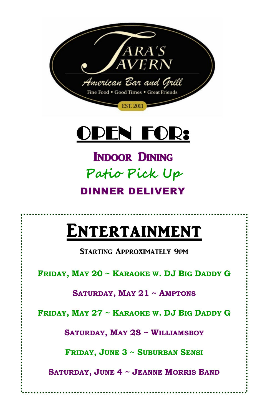

## OPEN FOR:

# EXTERNAL PRODUCTION **Patio Pick Up DINNER DELIVERY**

# **ENTERTAINMENT**<br>STARTING APPROXIMATELY 9PM

 **FRIDAY, MAY 20 ~ KARAOKE W. DJ BIG DADDY G** 

**SATURDAY, MAY 21 ~ AMPTONS**

**FRIDAY, MAY 27 ~ KARAOKE W. DJ BIG DADDY G** 

**SATURDAY, MAY 28 ~ WILLIAMSBOY**

**FRIDAY, JUNE 3 ~ SUBURBAN SENSI**

**SATURDAY, JUNE 4 ~ JEANNE MORRIS BAND**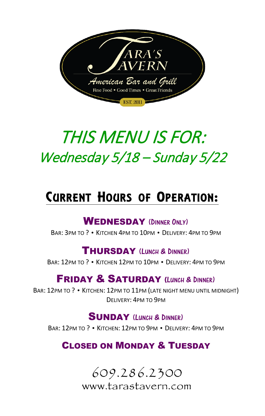

## THIS MENU IS FOR: Wednesday 5/18 – Sunday 5/22

## CURRENT HOURS OF OPERATION:

#### WEDNESDAY (DINNER ONLY)

BAR: 3PM TO ? • KITCHEN 4PM TO 10PM • DELIVERY: 4PM TO 9PM

#### THURSDAY (LUNCH & DINNER)

BAR: 12PM TO ? • KITCHEN 12PM TO 10PM • DELIVERY: 4PM TO 9PM

#### **FRIDAY & SATURDAY (LUNCH & DINNER)**

BAR: 12PM TO ? • KITCHEN: 12PM TO 11PM (LATE NIGHT MENU UNTIL MIDNIGHT) DELIVERY: 4PM TO 9PM

#### SUNDAY (LUNCH & DINNER)

BAR: 12PM TO ? • KITCHEN: 12PM TO 9PM • DELIVERY: 4PM TO 9PM

### CLOSED ON MONDAY & TUESDAY

609.286.2300 www.tarastavern.com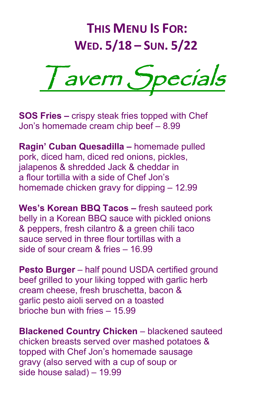## **THIS MENU IS FOR: WED. 5/18 – SUN. 5/22**



**SOS Fries –** crispy steak fries topped with Chef Jon's homemade cream chip beef – 8.99

**Ragin' Cuban Quesadilla –** homemade pulled pork, diced ham, diced red onions, pickles, jalapenos & shredded Jack & cheddar in a flour tortilla with a side of Chef Jon's homemade chicken gravy for dipping – 12.99

**Wes's Korean BBQ Tacos –** fresh sauteed pork belly in a Korean BBQ sauce with pickled onions & peppers, fresh cilantro & a green chili taco sauce served in three flour tortillas with a side of sour cream & fries – 16.99

**Pesto Burger** – half pound USDA certified ground beef grilled to your liking topped with garlic herb cream cheese, fresh bruschetta, bacon & garlic pesto aioli served on a toasted brioche bun with fries – 15.99

**Blackened Country Chicken** – blackened sauteed chicken breasts served over mashed potatoes & topped with Chef Jon's homemade sausage gravy (also served with a cup of soup or side house salad) – 19.99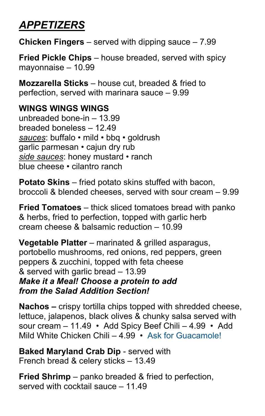## *APPETIZERS*

**Chicken Fingers** – served with dipping sauce – 7.99

**Fried Pickle Chips** – house breaded, served with spicy mayonnaise – 10.99

**Mozzarella Sticks** – house cut, breaded & fried to perfection, served with marinara sauce – 9.99

#### **WINGS WINGS WINGS**

unbreaded bone-in – 13.99 breaded boneless – 12.49 *sauces*: buffalo • mild • bbq • goldrush garlic parmesan • cajun dry rub *side sauces*: honey mustard • ranch blue cheese • cilantro ranch

**Potato Skins** – fried potato skins stuffed with bacon, broccoli & blended cheeses, served with sour cream – 9.99

**Fried Tomatoes** – thick sliced tomatoes bread with panko & herbs, fried to perfection, topped with garlic herb cream cheese & balsamic reduction – 10.99

**Vegetable Platter** – marinated & grilled asparagus, portobello mushrooms, red onions, red peppers, green peppers & zucchini, topped with feta cheese & served with garlic bread – 13.99 *Make it a Meal! Choose a protein to add from the Salad Addition Section!*

**Nachos –** crispy tortilla chips topped with shredded cheese, lettuce, jalapenos, black olives & chunky salsa served with sour cream – 11.49 • Add Spicy Beef Chili – 4.99 • Add Mild White Chicken Chili – 4.99 • Ask for Guacamole!

**Baked Maryland Crab Dip** - served with French bread & celery sticks – 13.49

**Fried Shrimp** – panko breaded & fried to perfection, served with cocktail sauce – 11.49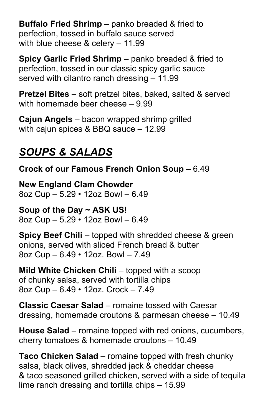**Buffalo Fried Shrimp** – panko breaded & fried to perfection, tossed in buffalo sauce served with blue cheese & celery – 11.99

**Spicy Garlic Fried Shrimp** – panko breaded & fried to perfection, tossed in our classic spicy garlic sauce served with cilantro ranch dressing – 11.99

**Pretzel Bites** – soft pretzel bites, baked, salted & served with homemade beer cheese – 9.99

**Cajun Angels** – bacon wrapped shrimp grilled with cajun spices & BBQ sauce – 12.99

### *SOUPS & SALADS*

**Crock of our Famous French Onion Soup** – 6.49

**New England Clam Chowder**  8oz Cup – 5.29 • 12oz Bowl – 6.49

**Soup of the Day ~ ASK US!**  8oz Cup – 5.29 • 12oz Bowl – 6.49

**Spicy Beef Chili** – topped with shredded cheese & green onions, served with sliced French bread & butter 8oz Cup – 6.49 • 12oz. Bowl – 7.49

**Mild White Chicken Chili** – topped with a scoop of chunky salsa, served with tortilla chips 8oz Cup – 6.49 • 12oz. Crock – 7.49

**Classic Caesar Salad** – romaine tossed with Caesar dressing, homemade croutons & parmesan cheese – 10.49

**House Salad** – romaine topped with red onions, cucumbers, cherry tomatoes & homemade croutons – 10.49

**Taco Chicken Salad** – romaine topped with fresh chunky salsa, black olives, shredded jack & cheddar cheese & taco seasoned grilled chicken, served with a side of tequila lime ranch dressing and tortilla chips – 15.99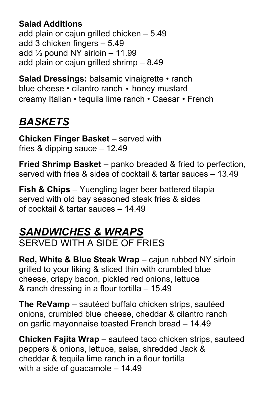#### **Salad Additions**

add plain or cajun grilled chicken – 5.49 add 3 chicken fingers – 5.49 add  $\frac{1}{2}$  pound NY sirloin – 11.99 add plain or cajun grilled shrimp – 8.49

**Salad Dressings:** balsamic vinaigrette • ranch blue cheese • cilantro ranch • honey mustard creamy Italian • tequila lime ranch • Caesar • French

## *BASKETS*

**Chicken Finger Basket** – served with fries & dipping sauce – 12.49

**Fried Shrimp Basket** – panko breaded & fried to perfection, served with fries & sides of cocktail & tartar sauces – 13.49

**Fish & Chips** – Yuengling lager beer battered tilapia served with old bay seasoned steak fries & sides of cocktail & tartar sauces – 14.49

#### *SANDWICHES & WRAPS* SERVED WITH A SIDE OF FRIES

**Red, White & Blue Steak Wrap** – cajun rubbed NY sirloin grilled to your liking & sliced thin with crumbled blue cheese, crispy bacon, pickled red onions, lettuce & ranch dressing in a flour tortilla – 15.49

**The ReVamp** – sautéed buffalo chicken strips, sautéed onions, crumbled blue cheese, cheddar & cilantro ranch on garlic mayonnaise toasted French bread – 14.49

**Chicken Fajita Wrap** – sauteed taco chicken strips, sauteed peppers & onions, lettuce, salsa, shredded Jack & cheddar & tequila lime ranch in a flour tortilla with a side of guacamole – 14.49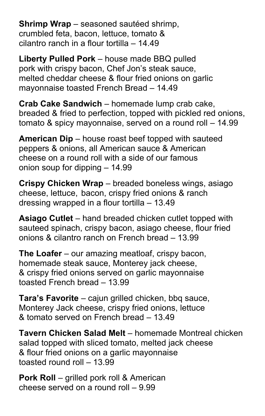**Shrimp Wrap** – seasoned sautéed shrimp, crumbled feta, bacon, lettuce, tomato & cilantro ranch in a flour tortilla – 14.49

**Liberty Pulled Pork** – house made BBQ pulled pork with crispy bacon, Chef Jon's steak sauce, melted cheddar cheese & flour fried onions on garlic mayonnaise toasted French Bread – 14.49

**Crab Cake Sandwich** – homemade lump crab cake, breaded & fried to perfection, topped with pickled red onions, tomato & spicy mayonnaise, served on a round roll – 14.99

**American Dip** – house roast beef topped with sauteed peppers & onions, all American sauce & American cheese on a round roll with a side of our famous onion soup for dipping – 14.99

**Crispy Chicken Wrap** – breaded boneless wings, asiago cheese, lettuce, bacon, crispy fried onions & ranch dressing wrapped in a flour tortilla – 13.49

**Asiago Cutlet** – hand breaded chicken cutlet topped with sauteed spinach, crispy bacon, asiago cheese, flour fried onions & cilantro ranch on French bread – 13.99

**The Loafer** – our amazing meatloaf, crispy bacon, homemade steak sauce, Monterey jack cheese, & crispy fried onions served on garlic mayonnaise toasted French bread – 13.99

**Tara's Favorite** – cajun grilled chicken, bbq sauce, Monterey Jack cheese, crispy fried onions, lettuce & tomato served on French bread – 13.49

**Tavern Chicken Salad Melt** – homemade Montreal chicken salad topped with sliced tomato, melted jack cheese & flour fried onions on a garlic mayonnaise toasted round roll – 13.99

**Pork Roll** – grilled pork roll & American cheese served on a round roll – 9.99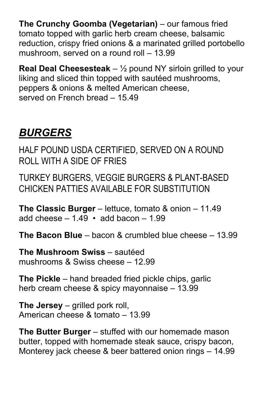**The Crunchy Goomba (Vegetarian)** – our famous fried tomato topped with garlic herb cream cheese, balsamic reduction, crispy fried onions & a marinated grilled portobello mushroom, served on a round roll – 13.99

**Real Deal Cheesesteak** – ½ pound NY sirloin grilled to your liking and sliced thin topped with sautéed mushrooms, peppers & onions & melted American cheese, served on French bread - 15.49

### *BURGERS*

HALF POUND USDA CERTIFIED, SERVED ON A ROUND ROLL WITH A SIDE OF FRIES

TURKEY BURGERS, VEGGIE BURGERS & PLANT-BASED CHICKEN PATTIES AVAILABLE FOR SUBSTITUTION

**The Classic Burger** – lettuce, tomato & onion – 11.49 add cheese  $-1.49 \cdot add$  bacon  $-1.99$ 

**The Bacon Blue** – bacon & crumbled blue cheese – 13.99

**The Mushroom Swiss** – sautéed mushrooms & Swiss cheese – 12.99

**The Pickle** – hand breaded fried pickle chips, garlic herb cream cheese & spicy mayonnaise – 13.99

**The Jersey** – grilled pork roll, American cheese & tomato – 13.99

**The Butter Burger** – stuffed with our homemade mason butter, topped with homemade steak sauce, crispy bacon, Monterey jack cheese & beer battered onion rings – 14.99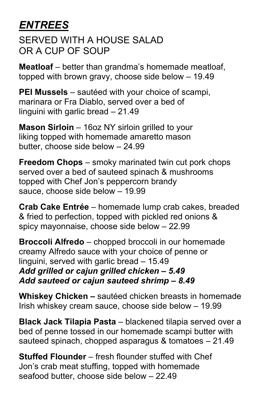### *ENTREES*

SERVED WITH A HOUSE SALAD OR A CUP OF SOUP

**Meatloaf** – better than grandma's homemade meatloaf, topped with brown gravy, choose side below – 19.49

**PEI Mussels** – sautéed with your choice of scampi, marinara or Fra Diablo, served over a bed of linguini with garlic bread – 21.49

**Mason Sirloin** – 16oz NY sirloin grilled to your liking topped with homemade amaretto mason butter, choose side below – 24.99

**Freedom Chops** – smoky marinated twin cut pork chops served over a bed of sauteed spinach & mushrooms topped with Chef Jon's peppercorn brandy sauce, choose side below – 19.99

**Crab Cake Entrée** – homemade lump crab cakes, breaded & fried to perfection, topped with pickled red onions & spicy mayonnaise, choose side below – 22.99

**Broccoli Alfredo** – chopped broccoli in our homemade creamy Alfredo sauce with your choice of penne or linguini, served with garlic bread – 15.49 *Add grilled or cajun grilled chicken – 5.49 Add sauteed or cajun sauteed shrimp – 8.49*

**Whiskey Chicken –** sautéed chicken breasts in homemade Irish whiskey cream sauce, choose side below – 19.99

**Black Jack Tilapia Pasta** – blackened tilapia served over a bed of penne tossed in our homemade scampi butter with sauteed spinach, chopped asparagus & tomatoes – 21.49

**Stuffed Flounder** – fresh flounder stuffed with Chef Jon's crab meat stuffing, topped with homemade seafood butter, choose side below – 22.49